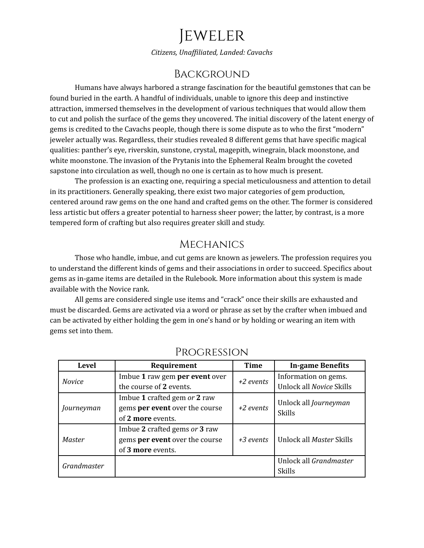# Jeweler

*Citizens, Unaf iliated, Landed: Cavachs*

# **BACKGROUND**

Humans have always harbored a strange fascination for the beautiful gemstones that can be found buried in the earth. A handful of individuals, unable to ignore this deep and instinctive attraction, immersed themselves in the development of various techniques that would allow them to cut and polish the surface of the gems they uncovered. The initial discovery of the latent energy of gems is credited to the Cavachs people, though there is some dispute as to who the first "modern" jeweler actually was. Regardless, their studies revealed 8 different gems that have specific magical qualities: panther's eye, riverskin, sunstone, crystal, magepith, winegrain, black moonstone, and white moonstone. The invasion of the Prytanis into the Ephemeral Realm brought the coveted sapstone into circulation as well, though no one is certain as to how much is present.

The profession is an exacting one, requiring a special meticulousness and attention to detail in its practitioners. Generally speaking, there exist two major categories of gem production, centered around raw gems on the one hand and crafted gems on the other. The former is considered less artistic but offers a greater potential to harness sheer power; the latter, by contrast, is a more tempered form of crafting but also requires greater skill and study.

### **MECHANICS**

Those who handle, imbue, and cut gems are known as jewelers. The profession requires you to understand the different kinds of gems and their associations in order to succeed. Specifics about gems as in-game items are detailed in the Rulebook. More information about this system is made available with the Novice rank.

All gems are considered single use items and "crack" once their skills are exhausted and must be discarded. Gems are activated via a word or phrase as set by the crafter when imbued and can be activated by either holding the gem in one's hand or by holding or wearing an item with gems set into them.

| <b>Level</b>  | Requirement                    | <b>Time</b> | <b>In-game Benefits</b>                       |
|---------------|--------------------------------|-------------|-----------------------------------------------|
| <b>Novice</b> | Imbue 1 raw gem per event over | $+2$ events | Information on gems.                          |
|               | the course of 2 events.        |             | Unlock all Novice Skills                      |
| Journeyman    | Imbue 1 crafted gem or 2 raw   | $+2$ events | Unlock all <i>Journeyman</i><br><b>Skills</b> |
|               | gems per event over the course |             |                                               |
|               | of 2 more events.              |             |                                               |
| <b>Master</b> | Imbue 2 crafted gems or 3 raw  | +3 events   | Unlock all Master Skills                      |
|               | gems per event over the course |             |                                               |
|               | of 3 more events.              |             |                                               |
| Grandmaster   |                                |             | Unlock all Grandmaster                        |
|               |                                |             | <b>Skills</b>                                 |

## Progression